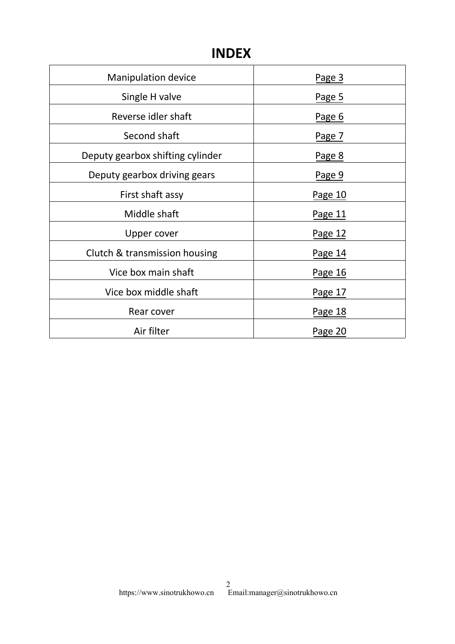## **INDEX**

| <b>Manipulation device</b>       | Page 3  |
|----------------------------------|---------|
| Single H valve                   | Page 5  |
| Reverse idler shaft              | Page 6  |
| Second shaft                     | Page 7  |
| Deputy gearbox shifting cylinder | Page 8  |
| Deputy gearbox driving gears     | Page 9  |
| First shaft assy                 | Page 10 |
| Middle shaft                     | Page 11 |
| Upper cover                      | Page 12 |
| Clutch & transmission housing    | Page 14 |
| Vice box main shaft              | Page 16 |
| Vice box middle shaft            | Page 17 |
| Rear cover                       | Page 18 |
| Air filter                       | Page 20 |
|                                  |         |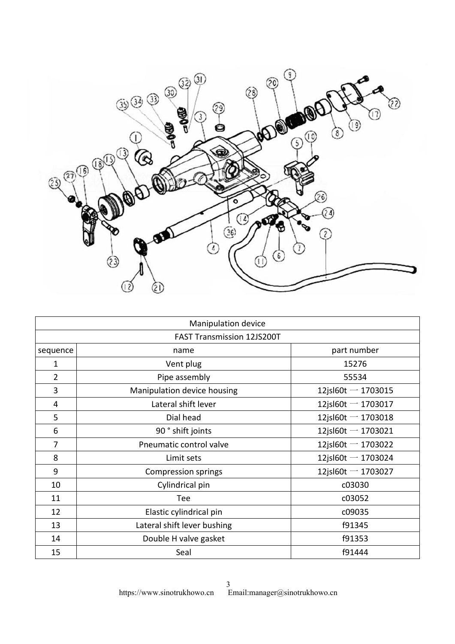<span id="page-2-0"></span>

|          | Manipulation device               |                       |
|----------|-----------------------------------|-----------------------|
|          | <b>FAST Transmission 12JS200T</b> |                       |
| sequence | name                              | part number           |
| 1        | Vent plug                         | 15276                 |
| 2        | Pipe assembly                     | 55534                 |
| 3        | Manipulation device housing       | 12jsl $60t - 1703015$ |
| 4        | Lateral shift lever               | 12jsl $60t - 1703017$ |
| 5        | Dial head                         | 12jsl60t $-$ 1703018  |
| 6        | 90° shift joints                  | 12jsl60t $-$ 1703021  |
| 7        | Pneumatic control valve           | 12jsl60t $-$ 1703022  |
| 8        | Limit sets                        | 12jsl60t $-$ 1703024  |
| 9        | <b>Compression springs</b>        | 12jsl60t $-$ 1703027  |
| 10       | Cylindrical pin                   | c03030                |
| 11       | Tee                               | c03052                |
| 12       | Elastic cylindrical pin           | c09035                |
| 13       | Lateral shift lever bushing       | f91345                |
| 14       | Double H valve gasket             | f91353                |
| 15       | Seal                              | f91444                |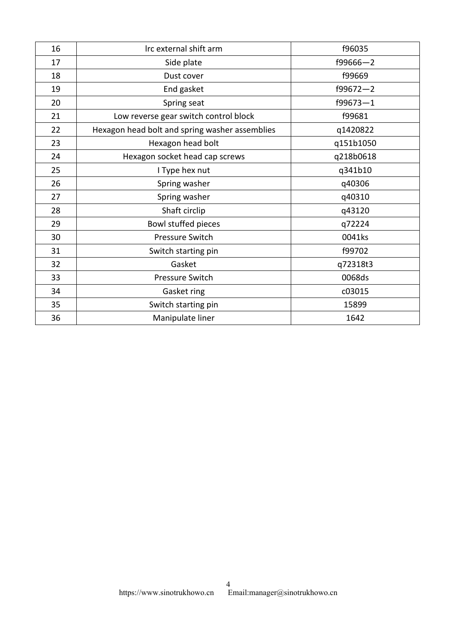| 16 | Irc external shift arm                         | f96035       |
|----|------------------------------------------------|--------------|
| 17 | Side plate                                     | $f99666 - 2$ |
| 18 | Dust cover                                     | f99669       |
| 19 | End gasket                                     | $f99672 - 2$ |
| 20 | Spring seat                                    | $f99673 - 1$ |
| 21 | Low reverse gear switch control block          | f99681       |
| 22 | Hexagon head bolt and spring washer assemblies | q1420822     |
| 23 | Hexagon head bolt                              | q151b1050    |
| 24 | Hexagon socket head cap screws                 | q218b0618    |
| 25 | I Type hex nut                                 | q341b10      |
| 26 | Spring washer                                  | q40306       |
| 27 | Spring washer                                  | q40310       |
| 28 | Shaft circlip                                  | q43120       |
| 29 | Bowl stuffed pieces                            | q72224       |
| 30 | Pressure Switch                                | 0041ks       |
| 31 | Switch starting pin                            | f99702       |
| 32 | Gasket                                         | q72318t3     |
| 33 | <b>Pressure Switch</b>                         | 0068ds       |
| 34 | Gasket ring                                    | c03015       |
| 35 | Switch starting pin                            | 15899        |
| 36 | Manipulate liner                               | 1642         |
|    |                                                |              |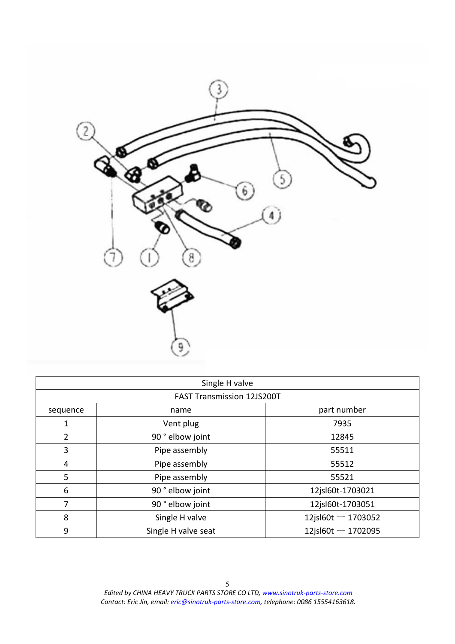<span id="page-4-0"></span>

|                | Single H valve                    |                      |
|----------------|-----------------------------------|----------------------|
|                | <b>FAST Transmission 12JS200T</b> |                      |
| sequence       | name                              | part number          |
| 1              | Vent plug                         | 7935                 |
| $\overline{2}$ | 90° elbow joint                   | 12845                |
| 3              | Pipe assembly                     | 55511                |
| 4              | Pipe assembly                     | 55512                |
| 5              | Pipe assembly                     | 55521                |
| 6              | 90° elbow joint                   | 12jsl60t-1703021     |
| 7              | 90° elbow joint                   | 12jsl60t-1703051     |
| 8              | Single H valve                    | 12jsl60t $-$ 1703052 |
| 9              | Single H valve seat               | 12jsl60t $-$ 1702095 |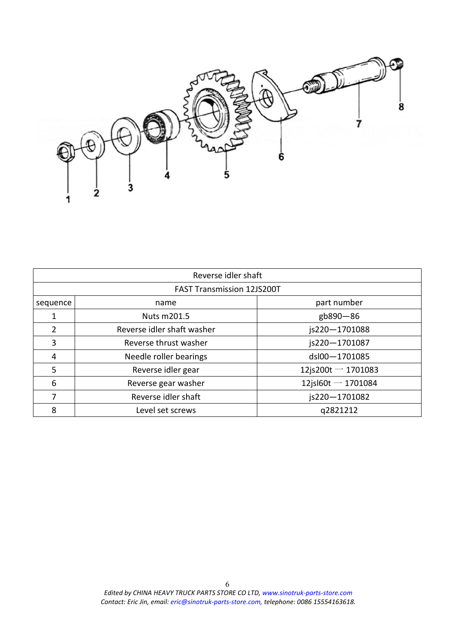<span id="page-5-0"></span>

|          | Reverse idler shaft               |                       |
|----------|-----------------------------------|-----------------------|
|          | <b>FAST Transmission 12JS200T</b> |                       |
| sequence | name                              | part number           |
|          | Nuts m201.5                       | gb890-86              |
| 2        | Reverse idler shaft washer        | js220-1701088         |
| 3        | Reverse thrust washer             | js220-1701087         |
| 4        | Needle roller bearings            | dsl00-1701085         |
| 5        | Reverse idler gear                | 12js200t $-$ 1701083  |
| 6        | Reverse gear washer               | 12jsl $60t - 1701084$ |
|          | Reverse idler shaft               | js220-1701082         |
| 8        | Level set screws                  | q2821212              |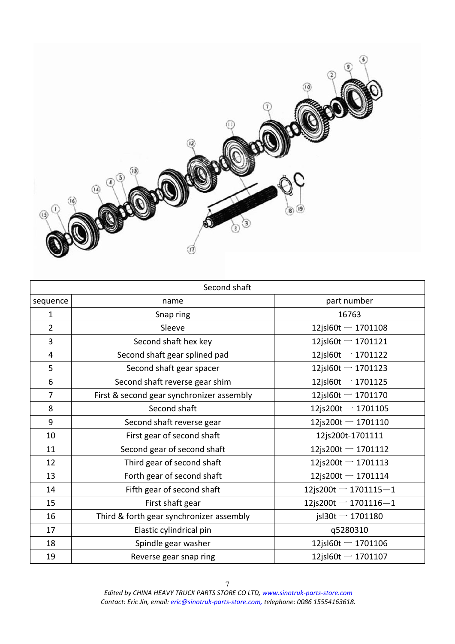<span id="page-6-0"></span>

| Second shaft   |                                           |                         |
|----------------|-------------------------------------------|-------------------------|
| sequence       | name                                      | part number             |
| 1              | Snap ring                                 | 16763                   |
| $\overline{2}$ | Sleeve                                    | 12jsl60t $-$ 1701108    |
| 3              | Second shaft hex key                      | 12jsl $60t - 1701121$   |
| 4              | Second shaft gear splined pad             | 12jsl60t $-$ 1701122    |
| 5              | Second shaft gear spacer                  | 12jsl60t $-$ 1701123    |
| 6              | Second shaft reverse gear shim            | 12jsl60t $-$ 1701125    |
| 7              | First & second gear synchronizer assembly | 12jsl $60t - 1701170$   |
| 8              | Second shaft                              | 12js200t $-$ 1701105    |
| 9              | Second shaft reverse gear                 | $12$ js200t $-$ 1701110 |
| 10             | First gear of second shaft                | 12js200t-1701111        |
| 11             | Second gear of second shaft               | $12$ js200t $-$ 1701112 |
| 12             | Third gear of second shaft                | 12js200t $-$ 1701113    |
| 13             | Forth gear of second shaft                | 12js200t $-$ 1701114    |
| 14             | Fifth gear of second shaft                | 12js200t $-$ 1701115-1  |
| 15             | First shaft gear                          | 12js200t $-$ 1701116-1  |
| 16             | Third & forth gear synchronizer assembly  | jsl $30t - 1701180$     |
| 17             | Elastic cylindrical pin                   | q5280310                |
| 18             | Spindle gear washer                       | 12jsl60t $-$ 1701106    |
| 19             | Reverse gear snap ring                    | 12jsl60t $-$ 1701107    |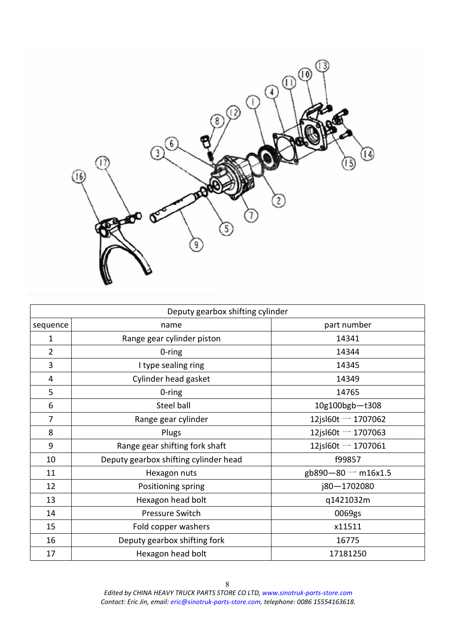<span id="page-7-0"></span>

| Deputy gearbox shifting cylinder |                                       |                       |
|----------------------------------|---------------------------------------|-----------------------|
| sequence                         | name                                  | part number           |
| $\mathbf{1}$                     | Range gear cylinder piston            | 14341                 |
| $\overline{2}$                   | 0-ring                                | 14344                 |
| 3                                | I type sealing ring                   | 14345                 |
| 4                                | Cylinder head gasket                  | 14349                 |
| 5                                | $0$ -ring                             | 14765                 |
| 6                                | Steel ball                            | 10g100bgb-t308        |
| 7                                | Range gear cylinder                   | 12jsl $60t - 1707062$ |
| 8                                | Plugs                                 | 12jsl60t $-$ 1707063  |
| 9                                | Range gear shifting fork shaft        | 12jsl60t $-$ 1707061  |
| 10                               | Deputy gearbox shifting cylinder head | f99857                |
| 11                               | Hexagon nuts                          | gb890-80 $-$ m16x1.5  |
| 12                               | Positioning spring                    | j80-1702080           |
| 13                               | Hexagon head bolt                     | q1421032m             |
| 14                               | Pressure Switch                       | 0069gs                |
| 15                               | Fold copper washers                   | x11511                |
| 16                               | Deputy gearbox shifting fork          | 16775                 |
| 17                               | Hexagon head bolt                     | 17181250              |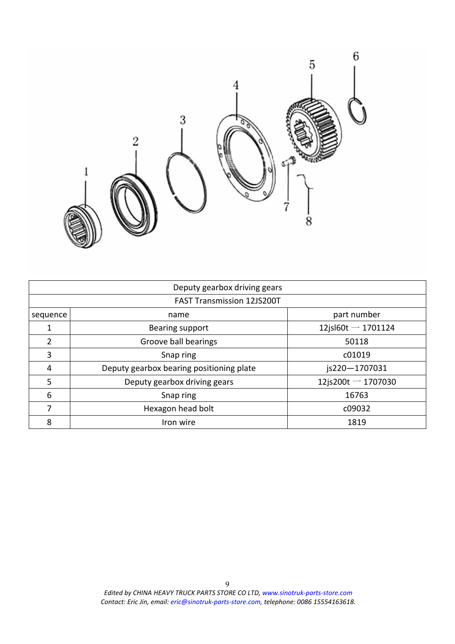<span id="page-8-0"></span>

|               | Deputy gearbox driving gears             |                       |
|---------------|------------------------------------------|-----------------------|
|               | <b>FAST Transmission 12JS200T</b>        |                       |
| sequence      | name                                     | part number           |
|               | Bearing support                          | 12jsl $60t - 1701124$ |
| $\mathfrak z$ | Groove ball bearings                     | 50118                 |
| 3             | Snap ring                                | c01019                |
| 4             | Deputy gearbox bearing positioning plate | js220-1707031         |
| 5             | Deputy gearbox driving gears             | 12js200t $-$ 1707030  |
| 6             | Snap ring                                | 16763                 |
| ⇁             | Hexagon head bolt                        | c09032                |
| 8             | Iron wire                                | 1819                  |
|               |                                          |                       |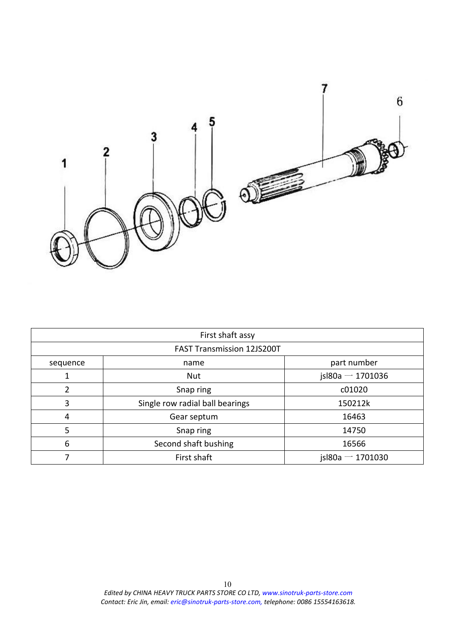<span id="page-9-0"></span>

|          | First shaft assy                  |                       |
|----------|-----------------------------------|-----------------------|
|          | <b>FAST Transmission 12JS200T</b> |                       |
| sequence | name                              | part number           |
|          | <b>Nut</b>                        | jsl $80a - 1701036$   |
|          | Snap ring                         | c01020                |
|          | Single row radial ball bearings   | 150212k               |
| 4        | Gear septum                       | 16463                 |
|          | Snap ring                         | 14750                 |
| 6        | Second shaft bushing              | 16566                 |
|          | First shaft                       | $is$ l80a $-$ 1701030 |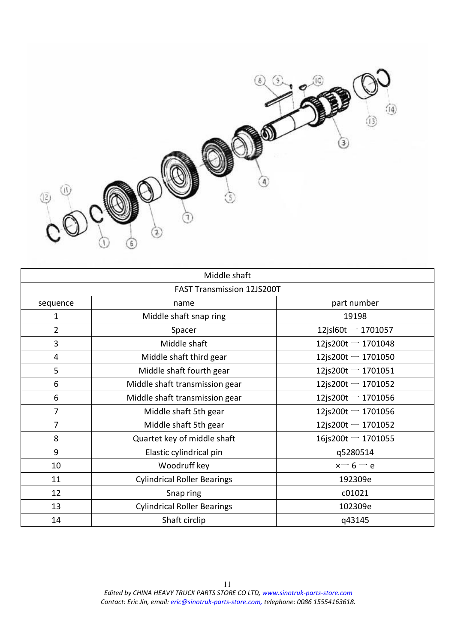<span id="page-10-0"></span>

|          | Middle shaft                       |                         |  |
|----------|------------------------------------|-------------------------|--|
|          | <b>FAST Transmission 12JS200T</b>  |                         |  |
| sequence | name                               | part number             |  |
| 1        | Middle shaft snap ring             | 19198                   |  |
| 2        | Spacer                             | 12jsl $60t - 1701057$   |  |
| 3        | Middle shaft                       | $12$ js200t $-$ 1701048 |  |
| 4        | Middle shaft third gear            | 12js200t $-$ 1701050    |  |
| 5        | Middle shaft fourth gear           | 12js200t $-$ 1701051    |  |
| 6        | Middle shaft transmission gear     | $12$ js200t - 1701052   |  |
| 6        | Middle shaft transmission gear     | 12js200t $-$ 1701056    |  |
| 7        | Middle shaft 5th gear              | 12js200t $-$ 1701056    |  |
|          | Middle shaft 5th gear              | 12js200t $-$ 1701052    |  |
| 8        | Quartet key of middle shaft        | $16$ js200t - 1701055   |  |
| 9        | Elastic cylindrical pin            | q5280514                |  |
| 10       | Woodruff key                       | $x - 6 - e$             |  |
| 11       | <b>Cylindrical Roller Bearings</b> | 192309e                 |  |
| 12       | Snap ring                          | c01021                  |  |
| 13       | <b>Cylindrical Roller Bearings</b> | 102309e                 |  |
| 14       | Shaft circlip                      | q43145                  |  |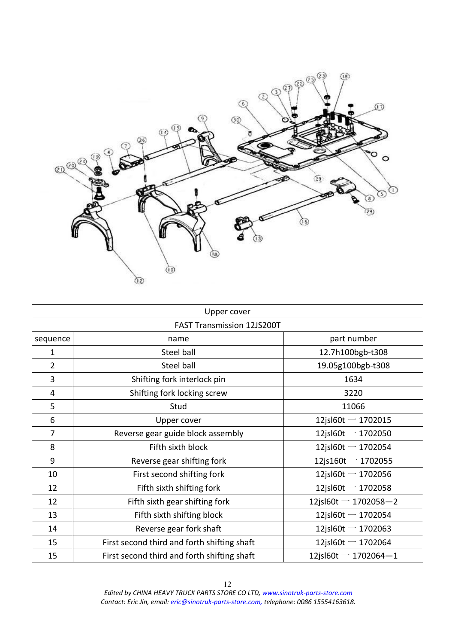<span id="page-11-0"></span>

|                | Upper cover                                 |                        |
|----------------|---------------------------------------------|------------------------|
|                | <b>FAST Transmission 12JS200T</b>           |                        |
| sequence       | name                                        | part number            |
| $\mathbf{1}$   | Steel ball                                  | 12.7h100bgb-t308       |
| $\overline{2}$ | Steel ball                                  | 19.05g100bgb-t308      |
| 3              | Shifting fork interlock pin                 | 1634                   |
| 4              | Shifting fork locking screw                 | 3220                   |
| 5              | Stud                                        | 11066                  |
| 6              | Upper cover                                 | 12jsl $60t - 1702015$  |
| 7              | Reverse gear guide block assembly           | 12jsl $60t - 1702050$  |
| 8              | Fifth sixth block                           | 12jsl60t $-$ 1702054   |
| 9              | Reverse gear shifting fork                  | 12js160t $-$ 1702055   |
| 10             | First second shifting fork                  | 12jsl60t $-$ 1702056   |
| 12             | Fifth sixth shifting fork                   | 12jsl60t $-$ 1702058   |
| 12             | Fifth sixth gear shifting fork              | 12jsl60t $-$ 1702058-2 |
| 13             | Fifth sixth shifting block                  | 12jsl60t $-$ 1702054   |
| 14             | Reverse gear fork shaft                     | 12jsl $60t - 1702063$  |
| 15             | First second third and forth shifting shaft | 12jsl60t $-$ 1702064   |
| 15             | First second third and forth shifting shaft | 12jsl60t $-$ 1702064-1 |
|                |                                             |                        |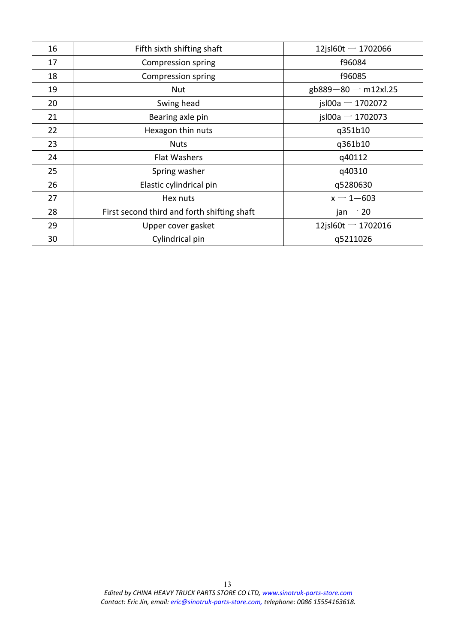| 16 | Fifth sixth shifting shaft                  | $12$ jsl $60t - 1702066$ |
|----|---------------------------------------------|--------------------------|
| 17 | Compression spring                          | f96084                   |
| 18 | Compression spring                          | f96085                   |
| 19 | Nut                                         | gb889-80 $-$ m12xl.25    |
| 20 | Swing head                                  | $is$ l00a $-$ 1702072    |
| 21 | Bearing axle pin                            | $is$ l00a $-$ 1702073    |
| 22 | Hexagon thin nuts                           | q351b10                  |
| 23 | <b>Nuts</b>                                 | q361b10                  |
| 24 | Flat Washers                                | q40112                   |
| 25 | Spring washer                               | q40310                   |
| 26 | Elastic cylindrical pin                     | q5280630                 |
| 27 | Hex nuts                                    | $x - 1 - 603$            |
| 28 | First second third and forth shifting shaft | jan $-20$                |
| 29 | Upper cover gasket                          | 12jsl $60t - 1702016$    |
| 30 | Cylindrical pin                             | q5211026                 |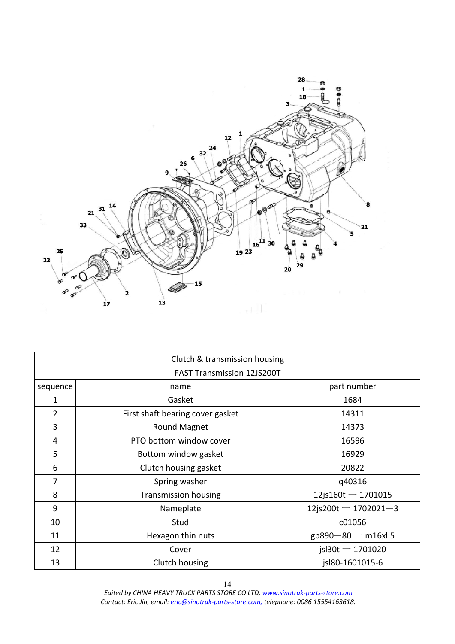<span id="page-13-0"></span>

|                                   | Clutch & transmission housing    |                         |
|-----------------------------------|----------------------------------|-------------------------|
| <b>FAST Transmission 12JS200T</b> |                                  |                         |
| sequence                          | name                             | part number             |
| $\mathbf{1}$                      | Gasket                           | 1684                    |
| $\overline{2}$                    | First shaft bearing cover gasket | 14311                   |
| 3                                 | <b>Round Magnet</b>              | 14373                   |
| 4                                 | PTO bottom window cover          | 16596                   |
| 5                                 | Bottom window gasket             | 16929                   |
| 6                                 | Clutch housing gasket            | 20822                   |
| 7                                 | Spring washer                    | q40316                  |
| 8                                 | <b>Transmission housing</b>      | $12$ js160t $-$ 1701015 |
| 9                                 | Nameplate                        | 12js200t $-$ 1702021-3  |
| 10                                | Stud                             | c01056                  |
| 11                                | Hexagon thin nuts                | gb890-80 $-$ m16xl.5    |
| 12                                | Cover                            | $is$ l30t $-$ 1701020   |
| 13                                | Clutch housing                   | jsl80-1601015-6         |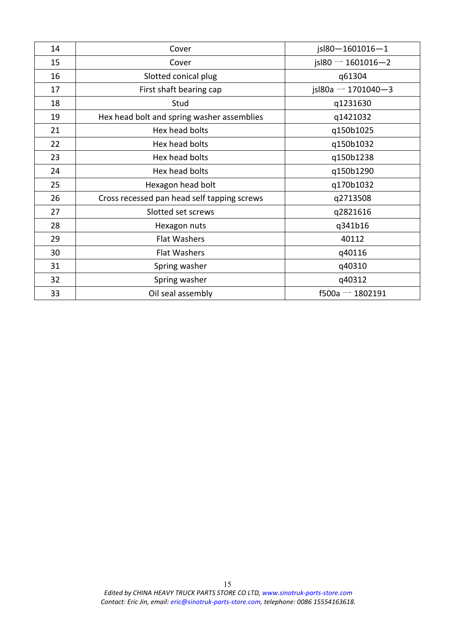| 14 | Cover                                       | jsl80-1601016-1           |
|----|---------------------------------------------|---------------------------|
| 15 | Cover                                       | $is$ l $80 - 1601016 - 2$ |
| 16 | Slotted conical plug                        | q61304                    |
| 17 | First shaft bearing cap                     | jsl80a $-$ 1701040-3      |
| 18 | Stud                                        | q1231630                  |
| 19 | Hex head bolt and spring washer assemblies  | q1421032                  |
| 21 | Hex head bolts                              | q150b1025                 |
| 22 | Hex head bolts                              | q150b1032                 |
| 23 | Hex head bolts                              | q150b1238                 |
| 24 | Hex head bolts                              | q150b1290                 |
| 25 | Hexagon head bolt                           | q170b1032                 |
| 26 | Cross recessed pan head self tapping screws | q2713508                  |
| 27 | Slotted set screws                          | q2821616                  |
| 28 | Hexagon nuts                                | q341b16                   |
| 29 | Flat Washers                                | 40112                     |
| 30 | Flat Washers                                | q40116                    |
| 31 | Spring washer                               | q40310                    |
| 32 | Spring washer                               | q40312                    |
| 33 | Oil seal assembly                           | $f500a - 1802191$         |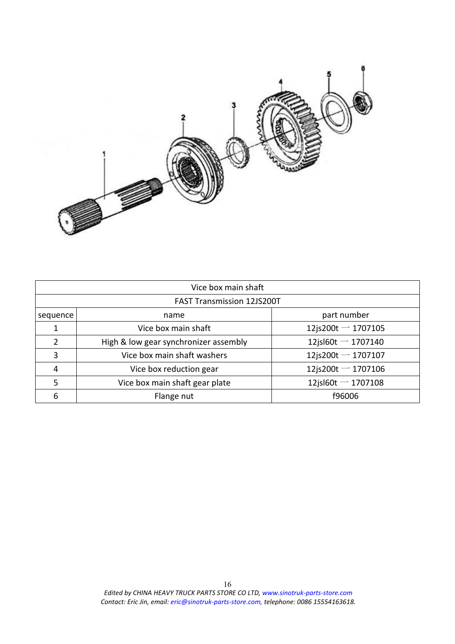<span id="page-15-0"></span>

|                                   | Vice box main shaft                   |                       |
|-----------------------------------|---------------------------------------|-----------------------|
| <b>FAST Transmission 12JS200T</b> |                                       |                       |
| sequence                          | name                                  | part number           |
|                                   | Vice box main shaft                   | $12$ js200t - 1707105 |
|                                   | High & low gear synchronizer assembly | 12jsl60t $-$ 1707140  |
| 3                                 | Vice box main shaft washers           | $12$ js200t - 1707107 |
|                                   | Vice box reduction gear               | 12js200t $-$ 1707106  |
|                                   | Vice box main shaft gear plate        | 12jsl $60t - 1707108$ |
| 6                                 | Flange nut                            | f96006                |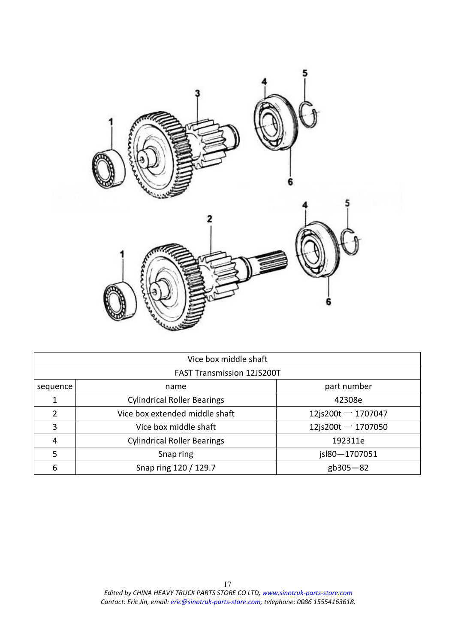<span id="page-16-0"></span>

|                                   | Vice box middle shaft              |                         |  |
|-----------------------------------|------------------------------------|-------------------------|--|
| <b>FAST Transmission 12JS200T</b> |                                    |                         |  |
| sequence                          | name                               | part number             |  |
|                                   | <b>Cylindrical Roller Bearings</b> | 42308e                  |  |
|                                   | Vice box extended middle shaft     | $12$ js200t $-$ 1707047 |  |
|                                   | Vice box middle shaft              | 12js200t $-$ 1707050    |  |
| 4                                 | <b>Cylindrical Roller Bearings</b> | 192311e                 |  |
|                                   | Snap ring                          | jsl80-1707051           |  |
| b                                 | Snap ring 120 / 129.7              | gb305-82                |  |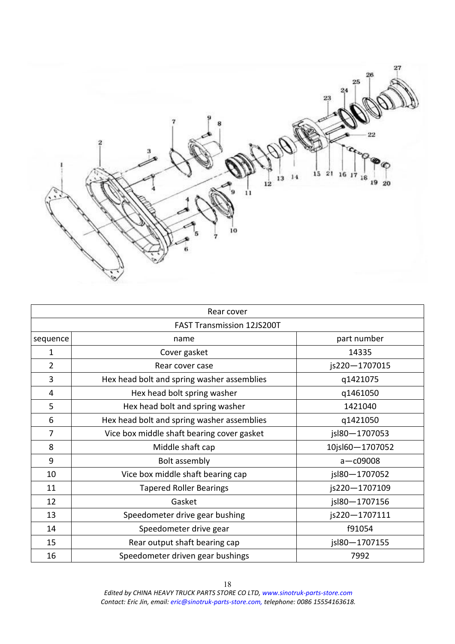<span id="page-17-0"></span>

|          | Rear cover                                 |                 |
|----------|--------------------------------------------|-----------------|
|          | <b>FAST Transmission 12JS200T</b>          |                 |
| sequence | name                                       | part number     |
| 1        | Cover gasket                               | 14335           |
| 2        | Rear cover case                            | js220-1707015   |
| 3        | Hex head bolt and spring washer assemblies | q1421075        |
| 4        | Hex head bolt spring washer                | q1461050        |
| 5        | Hex head bolt and spring washer            | 1421040         |
| 6        | Hex head bolt and spring washer assemblies | q1421050        |
| 7        | Vice box middle shaft bearing cover gasket | jsl80-1707053   |
| 8        | Middle shaft cap                           | 10jsl60-1707052 |
| 9        | Bolt assembly                              | $a - c09008$    |
| 10       | Vice box middle shaft bearing cap          | jsl80-1707052   |
| 11       | <b>Tapered Roller Bearings</b>             | js220-1707109   |
| 12       | Gasket                                     | jsl80-1707156   |
| 13       | Speedometer drive gear bushing             | js220-1707111   |
| 14       | Speedometer drive gear                     | f91054          |
| 15       | Rear output shaft bearing cap              | jsl80-1707155   |
| 16       | Speedometer driven gear bushings           | 7992            |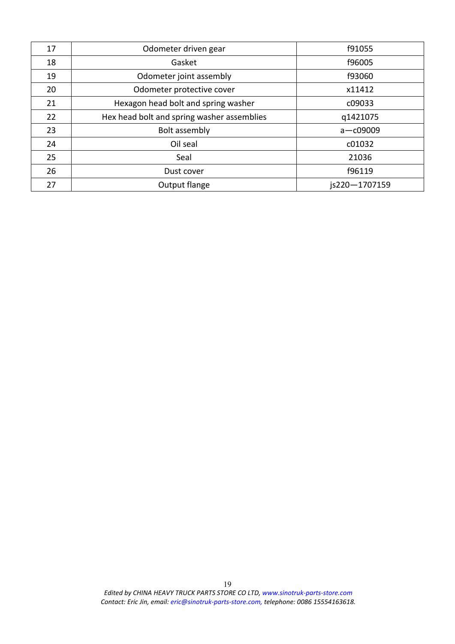| Odometer driven gear                       | f91055        |
|--------------------------------------------|---------------|
| Gasket                                     | f96005        |
| Odometer joint assembly                    | f93060        |
| Odometer protective cover                  | x11412        |
| Hexagon head bolt and spring washer        | c09033        |
| Hex head bolt and spring washer assemblies | q1421075      |
| Bolt assembly                              | $a - c09009$  |
| Oil seal                                   | c01032        |
| Seal                                       | 21036         |
| Dust cover                                 | f96119        |
| Output flange                              | is220-1707159 |
|                                            |               |